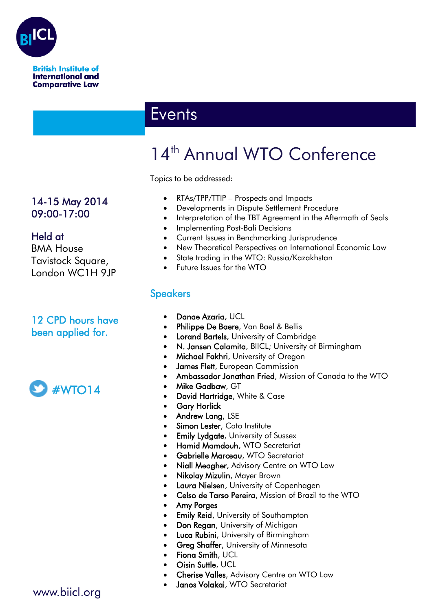

# **Events**

# 14<sup>th</sup> Annual WTO Conference

Topics to be addressed:

- RTAs/TPP/TTIP Prospects and Impacts
- Developments in Dispute Settlement Procedure
- Interpretation of the TBT Agreement in the Aftermath of Seals
- Implementing Post-Bali Decisions
- Current Issues in Benchmarking Jurisprudence
- New Theoretical Perspectives on International Economic Law
- State trading in the WTO: Russia/Kazakhstan
- Future Issues for the WTO

#### **Speakers**

- Danae Azaria, UCL
- Philippe De Baere, Van Bael & Bellis
- Lorand Bartels, University of Cambridge
- N. Jansen Calamita, BIICL; University of Birmingham
- Michael Fakhri, University of Oregon
- James Flett, European Commission
- Ambassador Jonathan Fried, Mission of Canada to the WTO
- Mike Gadbaw, GT
- David Hartridge, White & Case
- **Gary Horlick**
- Andrew Lang, LSE
- Simon Lester, Cato Institute
- **Emily Lydgate, University of Sussex**
- Hamid Mamdouh, WTO Secretariat
- Gabrielle Marceau, WTO Secretariat
- Niall Meagher, Advisory Centre on WTO Law
- Nikolay Mizulin, Mayer Brown
- Laura Nielsen, University of Copenhagen
- Celso de Tarso Pereira, Mission of Brazil to the WTO
- Amy Porges
- **Emily Reid, University of Southampton**
- Don Regan, University of Michigan
- Luca Rubini, University of Birmingham
- **Greg Shaffer, University of Minnesota**
- Fiona Smith, UCL
- Oisin Suttle, UCL
	- Cherise Valles, Advisory Centre on WTO Law
- Janos Volakai, WTO Secretariat

#### 14-15 May 2014 09:00-17:00

#### Held at

BMA House Tavistock Square, London WC1H 9JP

#### 12 CPD hours have been applied for.



#### www.biicl.org